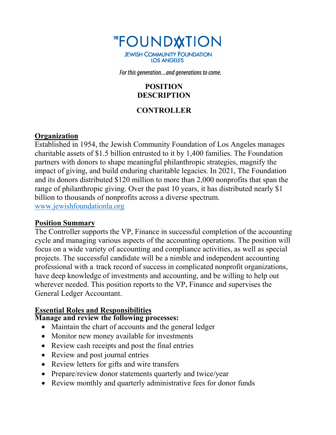

For this generation...and generations to come.

### **POSITION DESCRIPTION**

#### **CONTROLLER**

#### **Organization**

Established in 1954, the Jewish Community Foundation of Los Angeles manages charitable assets of \$1.5 billion entrusted to it by 1,400 families. The Foundation partners with donors to shape meaningful philanthropic strategies, magnify the impact of giving, and build enduring charitable legacies. In 2021, The Foundation and its donors distributed \$120 million to more than 2,000 nonprofits that span the range of philanthropic giving. Over the past 10 years, it has distributed nearly \$1 billion to thousands of nonprofits across a diverse spectrum.

[www.jewishfoundationla.org](http://www.jewishfoundationla.org/)

#### **Position Summary**

The Controller supports the VP, Finance in successful completion of the accounting cycle and managing various aspects of the accounting operations. The position will focus on a wide variety of accounting and compliance activities, as well as special projects. The successful candidate will be a nimble and independent accounting professional with a track record of success in complicated nonprofit organizations, have deep knowledge of investments and accounting, and be willing to help out wherever needed. This position reports to the VP, Finance and supervises the General Ledger Accountant.

## **Essential Roles and Responsibilities**

### **Manage and review the following processes:**

- Maintain the chart of accounts and the general ledger
- Monitor new money available for investments
- Review cash receipts and post the final entries
- Review and post journal entries
- Review letters for gifts and wire transfers
- Prepare/review donor statements quarterly and twice/year
- Review monthly and quarterly administrative fees for donor funds